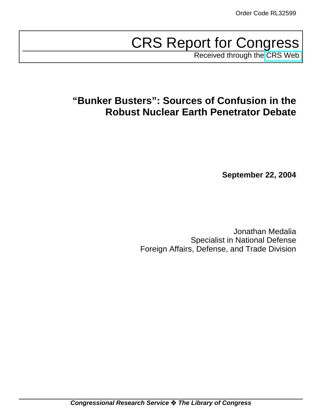# CRS Report for Congress

Received through the [CRS Web](http://www.fas.org/spp/starwars/crs/index.html)

# **"Bunker Busters": Sources of Confusion in the Robust Nuclear Earth Penetrator Debate**

**September 22, 2004**

Jonathan Medalia Specialist in National Defense Foreign Affairs, Defense, and Trade Division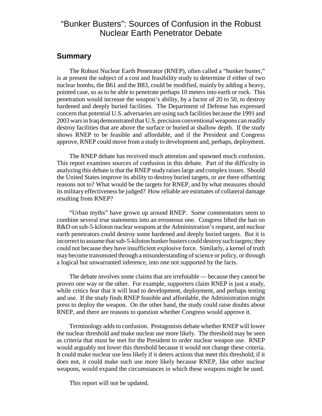### "Bunker Busters": Sources of Confusion in the Robust Nuclear Earth Penetrator Debate

#### **Summary**

The Robust Nuclear Earth Penetrator (RNEP), often called a "bunker buster," is at present the subject of a cost and feasibility study to determine if either of two nuclear bombs, the B61 and the B83, could be modified, mainly by adding a heavy, pointed case, so as to be able to penetrate perhaps 10 meters into earth or rock. This penetration would increase the weapon's ability, by a factor of 20 to 50, to destroy hardened and deeply buried facilities. The Department of Defense has expressed concern that potential U.S. adversaries are using such facilities because the 1991 and 2003 wars in Iraq demonstrated that U.S. precision conventional weapons can readily destroy facilities that are above the surface or buried at shallow depth. If the study shows RNEP to be feasible and affordable, and if the President and Congress approve, RNEP could move from a study to development and, perhaps, deployment.

The RNEP debate has received much attention and spawned much confusion. This report examines sources of confusion in this debate. Part of the difficulty in analyzing this debate is that the RNEP study raises large and complex issues. Should the United States improve its ability to destroy buried targets, or are there offsetting reasons not to? What would be the targets for RNEP, and by what measures should its military effectiveness be judged? How reliable are estimates of collateral damage resulting from RNEP?

"Urban myths" have grown up around RNEP. Some commentators seem to combine several true statements into an erroneous one. Congress lifted the ban on R&D on sub-5-kiloton nuclear weapons at the Administration's request, and nuclear earth penetrators could destroy some hardened and deeply buried targets. But it is incorrect to assume that sub-5-kiloton bunker busters could destroy such targets; they could not because they have insufficient explosive force. Similarly, a kernel of truth may become transmuted through a misunderstanding of science or policy, or through a logical but unwarranted inference, into one not supported by the facts.

The debate involves some claims that are irrefutable — because they cannot be proven one way or the other. For example, supporters claim RNEP is just a study, while critics fear that it will lead to development, deployment, and perhaps testing and use. If the study finds RNEP feasible and affordable, the Administration might press to deploy the weapon. On the other hand, the study could raise doubts about RNEP, and there are reasons to question whether Congress would approve it.

Terminology adds to confusion. Protagonists debate whether RNEP will lower the nuclear threshold and make nuclear use more likely. The threshold may be seen as criteria that must be met for the President to order nuclear weapon use. RNEP would arguably not lower this threshold because it would not change these criteria. It could make nuclear use less likely if it deters actions that meet this threshold; if it does not, it could make such use more likely because RNEP, like other nuclear weapons, would expand the circumstances in which these weapons might be used.

This report will not be updated.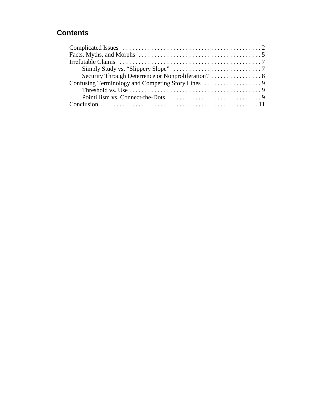## **Contents**

| Simply Study vs. "Slippery Slope" $\dots\dots\dots\dots\dots\dots\dots\dots\dots\dots$                  |
|---------------------------------------------------------------------------------------------------------|
| Security Through Deterrence or Nonproliferation? 8                                                      |
|                                                                                                         |
| Threshold vs. Use $\dots \dots \dots \dots \dots \dots \dots \dots \dots \dots \dots \dots \dots \dots$ |
|                                                                                                         |
|                                                                                                         |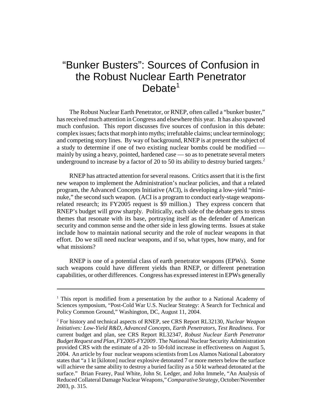# "Bunker Busters": Sources of Confusion in the Robust Nuclear Earth Penetrator  $Debate<sup>1</sup>$

The Robust Nuclear Earth Penetrator, or RNEP, often called a "bunker buster," has received much attention in Congress and elsewhere this year. It has also spawned much confusion. This report discusses five sources of confusion in this debate: complex issues; facts that morph into myths; irrefutable claims; unclear terminology; and competing story lines. By way of background, RNEP is at present the subject of a study to determine if one of two existing nuclear bombs could be modified mainly by using a heavy, pointed, hardened case — so as to penetrate several meters underground to increase by a factor of 20 to 50 its ability to destroy buried targets.<sup>2</sup>

RNEP has attracted attention for several reasons. Critics assert that it is the first new weapon to implement the Administration's nuclear policies, and that a related program, the Advanced Concepts Initiative (ACI), is developing a low-yield "mininuke," the second such weapon. (ACI is a program to conduct early-stage weaponsrelated research; its FY2005 request is \$9 million.) They express concern that RNEP's budget will grow sharply. Politically, each side of the debate gets to stress themes that resonate with its base, portraying itself as the defender of American security and common sense and the other side in less glowing terms. Issues at stake include how to maintain national security and the role of nuclear weapons in that effort. Do we still need nuclear weapons, and if so, what types, how many, and for what missions?

RNEP is one of a potential class of earth penetrator weapons (EPWs). Some such weapons could have different yields than RNEP, or different penetration capabilities, or other differences. Congress has expressed interest in EPWs generally

<sup>&</sup>lt;sup>1</sup> This report is modified from a presentation by the author to a National Academy of Sciences symposium, "Post-Cold War U.S. Nuclear Strategy: A Search for Technical and Policy Common Ground," Washington, DC, August 11, 2004.

<sup>2</sup> For history and technical aspects of RNEP, see CRS Report RL32130, *Nuclear Weapon Initiatives: Low-Yield R&D, Advanced Concepts, Earth Penetrators, Test Readiness*. For current budget and plan, see CRS Report RL32347, *Robust Nuclear Earth Penetrator Budget Request and Plan, FY2005-FY2009 .* The National Nuclear Security Administration provided CRS with the estimate of a 20- to 50-fold increase in effectiveness on August 5, 2004. An article by four nuclear weapons scientists from Los Alamos National Laboratory states that "a 1 kt [kiloton] nuclear explosive detonated 7 or more meters below the surface will achieve the same ability to destroy a buried facility as a 50 kt warhead detonated at the surface." Brian Fearey, Paul White, John St. Ledger, and John Immele, "An Analysis of Reduced Collateral Damage Nuclear Weapons," *Comparative Strategy,* October/November 2003, p. 315.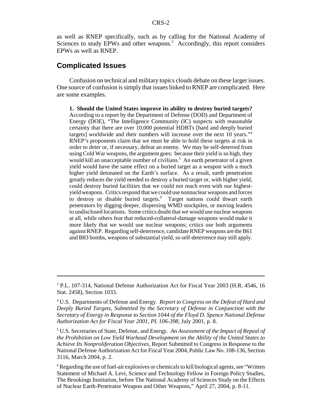as well as RNEP specifically, such as by calling for the National Academy of Sciences to study EPWs and other weapons.<sup>3</sup> Accordingly, this report considers EPWs as well as RNEP.

#### **Complicated Issues**

Confusion on technical and military topics clouds debate on these larger issues. One source of confusion is simply that issues linked to RNEP are complicated. Here are some examples.

**1. Should the United States improve its ability to destroy buried targets?** According to a report by the Department of Defense (DOD) and Department of Energy (DOE), "The Intelligence Community (IC) suspects with reasonable certainty that there are over 10,000 potential HDBTs [hard and deeply buried targets] worldwide and their numbers will increase over the next 10 years."4 RNEP's proponents claim that we must be able to hold these targets at risk in order to deter or, if necessary, defeat an enemy. We may be self-deterred from using Cold War weapons, the argument goes: because their yield is so high, they would kill an unacceptable number of civilians.<sup>5</sup> An earth penetrator of a given yield would have the same effect on a buried target as a weapon with a much higher yield detonated on the Earth's surface. As a result, earth penetration greatly reduces the yield needed to destroy a buried target or, with higher yield, could destroy buried facilities that we could not reach even with our highestyield weapons. Critics respond that we could use nonnuclear weapons and forces to destroy or disable buried targets.<sup>6</sup> Target nations could thwart earth penetrators by digging deeper, dispersing WMD stockpiles, or moving leaders to undisclosed locations. Some critics doubt that we would use nuclear weapons at all, while others fear that reduced-collateral-damage weapons would make it more likely that we would use nuclear weapons; critics use both arguments against RNEP. Regarding self-deterrence, candidate RNEP weapons are the B61 and B83 bombs, weapons of substantial yield, so self-deterrence may still apply.

<sup>&</sup>lt;sup>3</sup> P.L. 107-314, National Defense Authorization Act for Fiscal Year 2003 (H.R. 4546, 16 Stat. 2458), Section 1033.

<sup>4</sup> U.S. Departments of Defense and Energy. *Report to Congress on the Defeat of Hard and Deeply Buried Targets, Submitted by the Secretary of Defense in Conjunction with the Secretary of Energy in Response to Section 1044 of the Floyd D. Spence National Defense Authorization Act for Fiscal Year 2001, PL 106-398,* July 2001, p. 8.

<sup>5</sup> U.S. Secretaries of State, Defense, and Energy. *An Assessment of the Impact of Repeal of the Prohibition on Low Yield Warhead Development on the Ability of the United States to Achieve Its Nonproliferation Objectives,* Report Submitted to Congress in Response to the National Defense Authorization Act for Fiscal Year 2004, Public Law No. 108-136, Section 3116, March 2004, p. 2.

<sup>&</sup>lt;sup>6</sup> Regarding the use of fuel-air explosives or chemicals to kill biological agents, see "Written Statement of Michael A. Levi, Science and Technology Fellow in Foreign Policy Studies, The Brookings Institution, before The National Academy of Sciences Study on the Effects of Nuclear Earth-Penetrator Weapon and Other Weapons," April 27, 2004, p. 8-11.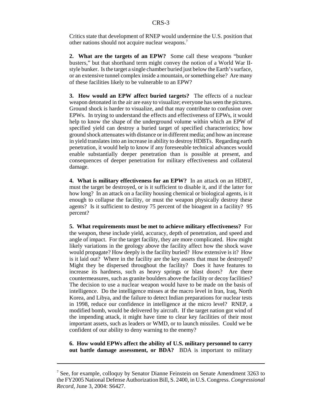Critics state that development of RNEP would undermine the U.S. position that other nations should not acquire nuclear weapons.7

**2. What are the targets of an EPW?** Some call these weapons "bunker busters," but that shorthand term might convey the notion of a World War IIstyle bunker. Is the target a single chamber buried just below the Earth's surface, or an extensive tunnel complex inside a mountain, or something else? Are many of these facilities likely to be vulnerable to an EPW?

**3. How would an EPW affect buried targets?** The effects of a nuclear weapon detonated in the air are easy to visualize; everyone has seen the pictures. Ground shock is harder to visualize, and that may contribute to confusion over EPWs. In trying to understand the effects and effectiveness of EPWs, it would help to know the shape of the underground volume within which an EPW of specified yield can destroy a buried target of specified characteristics; how ground shock attenuates with distance or in different media; and how an increase in yield translates into an increase in ability to destroy HDBTs. Regarding earth penetration, it would help to know if any foreseeable technical advances would enable substantially deeper penetration than is possible at present, and consequences of deeper penetration for military effectiveness and collateral damage.

**4. What is military effectiveness for an EPW?** In an attack on an HDBT, must the target be destroyed, or is it sufficient to disable it, and if the latter for how long? In an attack on a facility housing chemical or biological agents, is it enough to collapse the facility, or must the weapon physically destroy these agents? Is it sufficient to destroy 75 percent of the bioagent in a facility? 95 percent?

**5. What requirements must be met to achieve military effectiveness?** For the weapon, these include yield, accuracy, depth of penetration, and speed and angle of impact. For the target facility, they are more complicated. How might likely variations in the geology above the facility affect how the shock wave would propagate? How deeply is the facility buried? How extensive is it? How is it laid out? Where in the facility are the key assets that must be destroyed? Might they be dispersed throughout the facility? Does it have features to increase its hardness, such as heavy springs or blast doors? Are there countermeasures, such as granite boulders above the facility or decoy facilities? The decision to use a nuclear weapon would have to be made on the basis of intelligence. Do the intelligence misses at the macro level in Iran, Iraq, North Korea, and Libya, and the failure to detect Indian preparations for nuclear tests in 1998, reduce our confidence in intelligence at the micro level? RNEP, a modified bomb, would be delivered by aircraft. If the target nation got wind of the impending attack, it might have time to clear key facilities of their most important assets, such as leaders or WMD, or to launch missiles. Could we be confident of our ability to deny warning to the enemy?

**6. How would EPWs affect the ability of U.S. military personnel to carry out battle damage assessment, or BDA?** BDA is important to military

<sup>&</sup>lt;sup>7</sup> See, for example, colloquy by Senator Dianne Feinstein on Senate Amendment 3263 to the FY2005 National Defense Authorization Bill, S. 2400, in U.S. Congress. *Congressional Record,* June 3, 2004: S6427.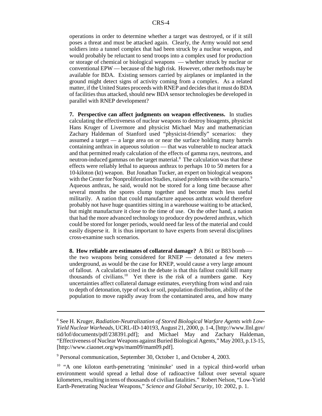operations in order to determine whether a target was destroyed, or if it still poses a threat and must be attacked again. Clearly, the Army would not send soldiers into a tunnel complex that had been struck by a nuclear weapon, and would probably be reluctant to send troops into a complex used for production or storage of chemical or biological weapons — whether struck by nuclear or conventional EPW — because of the high risk. However, other methods may be available for BDA. Existing sensors carried by airplanes or implanted in the ground might detect signs of activity coming from a complex. As a related matter, if the United States proceeds with RNEP and decides that it must do BDA of facilities thus attacked, should new BDA sensor technologies be developed in parallel with RNEP development?

**7. Perspective can affect judgments on weapon effectiveness.** In studies calculating the effectiveness of nuclear weapons to destroy bioagents, physicist Hans Kruger of Livermore and physicist Michael May and mathematician Zachary Haldeman of Stanford used "physicist-friendly" scenarios: they assumed a target — a large area on or near the surface holding many barrels containing anthrax in aqueous solution — that was vulnerable to nuclear attack and that permitted ready calculation of the effects of gamma rays, neutrons, and neutron-induced gammas on the target material.<sup>8</sup> The calculation was that these effects were reliably lethal to aqueous anthrax to perhaps 10 to 50 meters for a 10-kiloton (kt) weapon. But Jonathan Tucker, an expert on biological weapons with the Center for Nonproliferation Studies, raised problems with the scenario.<sup>9</sup> Aqueous anthrax, he said, would not be stored for a long time because after several months the spores clump together and become much less useful militarily. A nation that could manufacture aqueous anthrax would therefore probably not have huge quantities sitting in a warehouse waiting to be attacked, but might manufacture it close to the time of use. On the other hand, a nation that had the more advanced technology to produce dry powdered anthrax, which could be stored for longer periods, would need far less of the material and could easily disperse it. It is thus important to have experts from several disciplines cross-examine such scenarios.

**8. How reliable are estimates of collateral damage?** A B61 or B83 bomb the two weapons being considered for RNEP — detonated a few meters underground, as would be the case for RNEP, would cause a very large amount of fallout. A calculation cited in the debate is that this fallout could kill many thousands of civilians.<sup>10</sup> Yet there is the risk of a numbers game. Key uncertainties affect collateral damage estimates, everything from wind and rain to depth of detonation, type of rock or soil, population distribution, ability of the population to move rapidly away from the contaminated area, and how many

<sup>8</sup> See H. Kruger, *Radiation-Neutralization of Stored Biological Warfare Agents with Low-Yield Nuclear Warheads,* UCRL-ID-140193, August 21, 2000, p. 1-4, [http://www.llnl.gov/ tid/lof/documents/pdf/238391.pdf]; and Michael May and Zachary Haldeman, "Effectiveness of Nuclear Weapons against Buried Biological Agents," May 2003, p.13-15, [http://www.ciaonet.org/wps/mam09/mam09.pdf].

<sup>&</sup>lt;sup>9</sup> Personal communication, September 30, October 1, and October 4, 2003.

<sup>&</sup>lt;sup>10</sup> "A one kiloton earth-penetrating 'mininuke' used in a typical third-world urban environment would spread a lethal dose of radioactive fallout over several square kilometers, resulting in tens of thousands of civilian fatalities." Robert Nelson, "Low-Yield Earth-Penetrating Nuclear Weapons," *Science and Global Security,* 10: 2002, p. 1.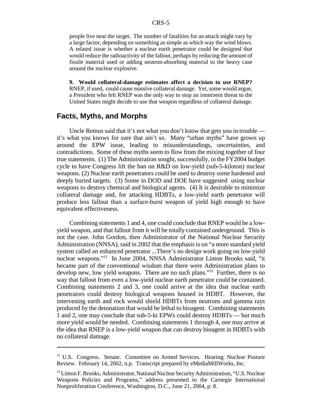people live near the target. The number of fatalities for an attack might vary by a large factor, depending on something as simple as which way the wind blows. A related issue is whether a nuclear earth penetrator could be designed that would reduce the radioactivity of the fallout, perhaps by reducing the amount of fissile material used or adding neutron-absorbing material to the heavy case around the nuclear explosive.

**9. Would collateral-damage estimates affect a decision to use RNEP?** RNEP, if used, could cause massive collateral damage. Yet, some would argue, a President who felt RNEP was the only way to stop an imminent threat to the United States might decide to use that weapon regardless of collateral damage.

### **Facts, Myths, and Morphs**

Uncle Remus said that it's not what you don't know that gets you in trouble it's what you knows for sure that ain't so. Many "urban myths" have grown up around the EPW issue, leading to misunderstandings, uncertainties, and contradictions. Some of these myths seem to flow from the mixing together of four true statements. (1) The Administration sought, successfully, in the FY2004 budget cycle to have Congress lift the ban on R&D on low-yield (sub-5-kiloton) nuclear weapons. (2) Nuclear earth penetrators could be used to destroy some hardened and deeply buried targets. (3) Some in DOD and DOE have suggested using nuclear weapons to destroy chemical and biological agents. (4) It is desirable to minimize collateral damage and, for attacking HDBTs, a low-yield earth penetrator will produce less fallout than a surface-burst weapon of yield high enough to have equivalent effectiveness.

Combining statements 1 and 4, one could conclude that RNEP would be a lowyield weapon, and that fallout from it will be totally contained underground. This is not the case. John Gordon, then Administrator of the National Nuclear Security Administration (NNSA), said in 2002 that the emphasis is on "a more standard yield system called an enhanced penetrator ...There's no design work going on low-yield nuclear weapons."11 In June 2004, NNSA Administrator Linton Brooks said, "it became part of the conventional wisdom that there were Administration plans to develop new, low yield weapons. There are no such plans."<sup>12</sup> Further, there is no way that fallout from even a low-yield nuclear earth penetrator could be contained. Combining statements 2 and 3, one could arrive at the idea that nuclear earth penetrators could destroy biological weapons housed in HDBT. However, the intervening earth and rock would shield HDBTs from neutrons and gamma rays produced by the detonation that would be lethal to bioagent. Combining statements 1 and 2, one may conclude that sub-5-kt EPWs could destroy HDBTs — but much more yield would be needed. Combining statements 1 through 4, one may arrive at the idea that RNEP is a low-yield weapon that can destroy bioagent in HDBTs with no collateral damage.

<sup>&</sup>lt;sup>11</sup> U.S. Congress. Senate. Committee on Armed Services. Hearing: Nuclear Posture Review. February 14, 2002, n.p. Transcript prepared by eMediaMillWorks, Inc.

<sup>&</sup>lt;sup>12</sup> Linton F. Brooks, Administrator, National Nuclear Security Administration, "U.S. Nuclear Weapons Policies and Programs," address presented to the Carnegie International Nonproliferation Conference, Washington, D.C., June 21, 2004, p. 8.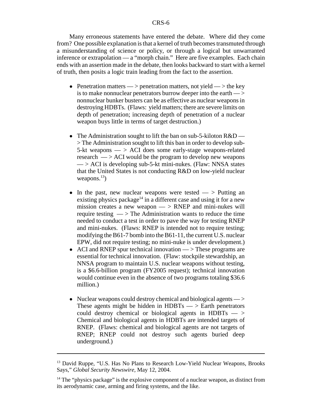#### CRS-6

Many erroneous statements have entered the debate. Where did they come from? One possible explanation is that a kernel of truth becomes transmuted through a misunderstanding of science or policy, or through a logical but unwarranted inference or extrapolation — a "morph chain." Here are five examples. Each chain ends with an assertion made in the debate, then looks backward to start with a kernel of truth, then posits a logic train leading from the fact to the assertion.

- Penetration matters > penetration matters, not yield > the key is to make nonnuclear penetrators burrow deeper into the earth — > nonnuclear bunker busters can be as effective as nuclear weapons in destroying HDBTs. (Flaws: yield matters; there are severe limits on depth of penetration; increasing depth of penetration of a nuclear weapon buys little in terms of target destruction.)
- The Administration sought to lift the ban on sub-5-kiloton  $R&D$  > The Administration sought to lift this ban in order to develop sub-5-kt weapons  $\implies$  ACI does some early-stage weapons-related research  $\rightarrow$  ACI would be the program to develop new weapons  $\rightarrow$  ACI is developing sub-5-kt mini-nukes. (Flaw: NNSA states that the United States is not conducting R&D on low-yield nuclear weapons. $^{13}$ )
- In the past, new nuclear weapons were tested  $\rightarrow$  Putting an existing physics package<sup>14</sup> in a different case and using it for a new mission creates a new weapon  $\implies$  RNEP and mini-nukes will require testing  $\rightarrow$  The Administration wants to reduce the time needed to conduct a test in order to pave the way for testing RNEP and mini-nukes. (Flaws: RNEP is intended not to require testing; modifying the B61-7 bomb into the B61-11, the current U.S. nuclear EPW, did not require testing; no mini-nuke is under development.)
- ACI and RNEP spur technical innovation  $\rightarrow$  These programs are essential for technical innovation. (Flaw: stockpile stewardship, an NNSA program to maintain U.S. nuclear weapons without testing, is a \$6.6-billion program (FY2005 request); technical innovation would continue even in the absence of two programs totaling \$36.6 million.)
- $\bullet$  Nuclear weapons could destroy chemical and biological agents  $>$ These agents might be hidden in  $H$ DBTs —  $>$  Earth penetrators could destroy chemical or biological agents in HDBTs  $\rightarrow$ Chemical and biological agents in HDBTs are intended targets of RNEP. (Flaws: chemical and biological agents are not targets of RNEP; RNEP could not destroy such agents buried deep underground.)

<sup>&</sup>lt;sup>13</sup> David Ruppe, "U.S. Has No Plans to Research Low-Yield Nuclear Weapons, Brooks Says," *Global Security Newswire,* May 12, 2004.

 $14$  The "physics package" is the explosive component of a nuclear weapon, as distinct from its aerodynamic case, arming and firing systems, and the like.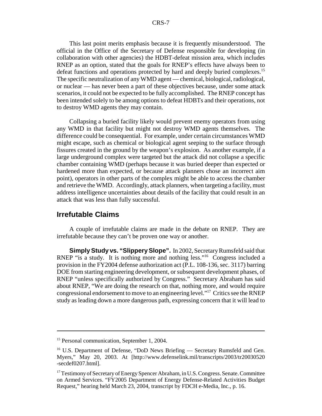This last point merits emphasis because it is frequently misunderstood. The official in the Office of the Secretary of Defense responsible for developing (in collaboration with other agencies) the HDBT-defeat mission area, which includes RNEP as an option, stated that the goals for RNEP's effects have always been to defeat functions and operations protected by hard and deeply buried complexes.<sup>15</sup> The specific neutralization of any WMD agent — chemical, biological, radiological, or nuclear — has never been a part of these objectives because, under some attack scenarios, it could not be expected to be fully accomplished. The RNEP concept has been intended solely to be among options to defeat HDBTs and their operations, not to destroy WMD agents they may contain.

Collapsing a buried facility likely would prevent enemy operators from using any WMD in that facility but might not destroy WMD agents themselves. The difference could be consequential. For example, under certain circumstances WMD might escape, such as chemical or biological agent seeping to the surface through fissures created in the ground by the weapon's explosion. As another example, if a large underground complex were targeted but the attack did not collapse a specific chamber containing WMD (perhaps because it was buried deeper than expected or hardened more than expected, or because attack planners chose an incorrect aim point), operators in other parts of the complex might be able to access the chamber and retrieve the WMD. Accordingly, attack planners, when targeting a facility, must address intelligence uncertainties about details of the facility that could result in an attack that was less than fully successful.

#### **Irrefutable Claims**

A couple of irrefutable claims are made in the debate on RNEP. They are irrefutable because they can't be proven one way or another.

**Simply Study vs. "Slippery Slope".** In 2002, Secretary Rumsfeld said that RNEP "is a study. It is nothing more and nothing less."<sup>16</sup> Congress included a provision in the FY2004 defense authorization act (P.L. 108-136, sec. 3117) barring DOE from starting engineering development, or subsequent development phases, of RNEP "unless specifically authorized by Congress." Secretary Abraham has said about RNEP, "We are doing the research on that, nothing more, and would require congressional endorsement to move to an engineering level."17 Critics see the RNEP study as leading down a more dangerous path, expressing concern that it will lead to

<sup>&</sup>lt;sup>15</sup> Personal communication, September 1, 2004.

<sup>&</sup>lt;sup>16</sup> U.S. Department of Defense, "DoD News Briefing — Secretary Rumsfeld and Gen. Myers," May 20, 2003. At [http://www.defenselink.mil/transcripts/2003/tr20030520 -secdef0207.html].

<sup>&</sup>lt;sup>17</sup> Testimony of Secretary of Energy Spencer Abraham, in U.S. Congress. Senate. Committee on Armed Services. "FY2005 Department of Energy Defense-Related Activities Budget Request," hearing held March 23, 2004, transcript by FDCH e-Media, Inc., p. 16.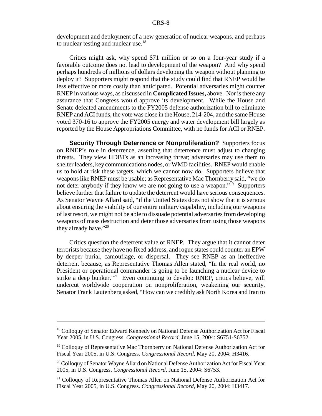development and deployment of a new generation of nuclear weapons, and perhaps to nuclear testing and nuclear use.<sup>18</sup>

Critics might ask, why spend \$71 million or so on a four-year study if a favorable outcome does not lead to development of the weapon? And why spend perhaps hundreds of millions of dollars developing the weapon without planning to deploy it? Supporters might respond that the study could find that RNEP would be less effective or more costly than anticipated. Potential adversaries might counter RNEP in various ways, as discussed in **Complicated Issues,** above. Nor is there any assurance that Congress would approve its development. While the House and Senate defeated amendments to the FY2005 defense authorization bill to eliminate RNEP and ACI funds, the vote was close in the House, 214-204, and the same House voted 370-16 to approve the FY2005 energy and water development bill largely as reported by the House Appropriations Committee, with no funds for ACI or RNEP.

**Security Through Deterrence or Nonproliferation?** Supporters focus on RNEP's role in deterrence, asserting that deterrence must adjust to changing threats. They view HDBTs as an increasing threat; adversaries may use them to shelter leaders, key communications nodes, or WMD facilities. RNEP would enable us to hold at risk these targets, which we cannot now do. Supporters believe that weapons like RNEP must be usable; as Representative Mac Thornberry said, "we do not deter anybody if they know we are not going to use a weapon."<sup>19</sup> Supporters believe further that failure to update the deterrent would have serious consequences. As Senator Wayne Allard said, "if the United States does not show that it is serious about ensuring the viability of our entire military capability, including our weapons of last resort, we might not be able to dissuade potential adversaries from developing weapons of mass destruction and deter those adversaries from using those weapons they already have."<sup>20</sup>

Critics question the deterrent value of RNEP. They argue that it cannot deter terrorists because they have no fixed address, and rogue states could counter an EPW by deeper burial, camouflage, or dispersal. They see RNEP as an ineffective deterrent because, as Representative Thomas Allen stated, "In the real world, no President or operational commander is going to be launching a nuclear device to strike a deep bunker."<sup>21</sup> Even continuing to develop RNEP, critics believe, will undercut worldwide cooperation on nonproliferation, weakening our security. Senator Frank Lautenberg asked, "How can we credibly ask North Korea and Iran to

<sup>&</sup>lt;sup>18</sup> Colloquy of Senator Edward Kennedy on National Defense Authorization Act for Fiscal Year 2005, in U.S. Congress. *Congressional Record,* June 15, 2004: S6751-S6752.

<sup>&</sup>lt;sup>19</sup> Colloquy of Representative Mac Thornberry on National Defense Authorization Act for Fiscal Year 2005, in U.S. Congress. *Congressional Record,* May 20, 2004: H3416.

<sup>&</sup>lt;sup>20</sup> Colloquy of Senator Wayne Allard on National Defense Authorization Act for Fiscal Year 2005, in U.S. Congress. *Congressional Record,* June 15, 2004: S6753.

<sup>&</sup>lt;sup>21</sup> Colloquy of Representative Thomas Allen on National Defense Authorization Act for Fiscal Year 2005, in U.S. Congress. *Congressional Record,* May 20, 2004: H3417.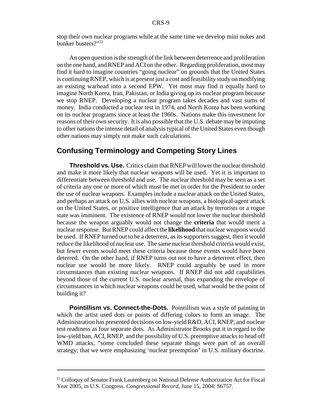stop their own nuclear programs while at the same time we develop mini nukes and bunker busters?"22

An open question is the strength of the link between deterrence and proliferation on the one hand, and RNEP and ACI on the other. Regarding proliferation, most may find it hard to imagine countries "going nuclear" on grounds that the United States is continuing RNEP, which is at present just a cost and feasibility study on modifying an existing warhead into a second EPW. Yet most may find it equally hard to imagine North Korea, Iran, Pakistan, or India giving up its nuclear program because we stop RNEP. Developing a nuclear program takes decades and vast sums of money. India conducted a nuclear test in 1974, and North Korea has been working on its nuclear programs since at least the 1960s. Nations make this investment for reasons of their own security. It is also possible that the U.S. debate may be imputing to other nations the intense detail of analysis typical of the United States even though other nations may simply not make such calculations.

### **Confusing Terminology and Competing Story Lines**

**Threshold vs. Use.** Critics claim that RNEP will lower the nuclear threshold and make it more likely that nuclear weapons will be used. Yet it is important to differentiate between threshold and use. The nuclear threshold may be seen as a set of criteria any one or more of which must be met in order for the President to order the use of nuclear weapons. Examples include a nuclear attack on the United States, and perhaps an attack on U.S. allies with nuclear weapons, a biological-agent attack on the United States, or positive intelligence that an attack by terrorists or a rogue state was imminent. The existence of RNEP would not lower the nuclear threshold because the weapon arguably would not change the **criteria** that would merit a nuclear response. But RNEP could affect the **likelihood** that nuclear weapons would be used. If RNEP turned out to be a deterrent, as its supporters suggest, then it would reduce the likelihood of nuclear use. The same nuclear threshold criteria would exist, but fewer events would meet these criteria because those events would have been deterred. On the other hand, if RNEP turns out not to have a deterrent effect, then nuclear use would be more likely. RNEP could arguably be used in more circumstances than existing nuclear weapons. If RNEP did not add capabilities beyond those of the current U.S. nuclear arsenal, thus expanding the envelope of circumstances in which nuclear weapons could be used, what would be the point of building it?

**Pointillism vs. Connect-the-Dots.** Pointillism was a style of painting in which the artist used dots or points of differing colors to form an image. The Administration has presented decisions on low-yield R&D, ACI, RNEP, and nuclear test readiness as four separate dots. As Administrator Brooks put it in regard to the low-yield ban, ACI, RNEP, and the possibility of U.S. preemptive attacks to head off WMD attacks, "some concluded these separate things were part of an overall strategy; that we were emphasizing 'nuclear preemption' in U.S. military doctrine.

<sup>&</sup>lt;sup>22</sup> Colloquy of Senator Frank Lautenberg on National Defense Authorization Act for Fiscal Year 2005, in U.S. Congress. *Congressional Record,* June 15, 2004: S6757.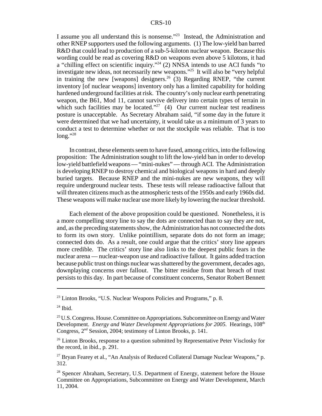#### CRS-10

I assume you all understand this is nonsense."23 Instead, the Administration and other RNEP supporters used the following arguments. (1) The low-yield ban barred R&D that could lead to production of a sub-5-kiloton nuclear weapon. Because this wording could be read as covering R&D on weapons even above 5 kilotons, it had a "chilling effect on scientific inquiry."<sup>24</sup> (2) NNSA intends to use ACI funds "to investigate new ideas, not necessarily new weapons."25 It will also be "very helpful in training the new [weapons] designers.<sup>26</sup> (3) Regarding RNEP, "the current inventory [of nuclear weapons] inventory only has a limited capability for holding hardened underground facilities at risk. The country's only nuclear earth penetrating weapon, the B61, Mod 11, cannot survive delivery into certain types of terrain in which such facilities may be located."<sup>27</sup> (4) Our current nuclear test readiness posture is unacceptable. As Secretary Abraham said, "if some day in the future it were determined that we had uncertainty, it would take us a minimum of 3 years to conduct a test to determine whether or not the stockpile was reliable. That is too long." $^{28}$ 

In contrast, these elements seem to have fused, among critics, into the following proposition: The Administration sought to lift the low-yield ban in order to develop low-yield battlefield weapons — "mini-nukes" — through ACI. The Administration is developing RNEP to destroy chemical and biological weapons in hard and deeply buried targets. Because RNEP and the mini-nukes are new weapons, they will require underground nuclear tests. These tests will release radioactive fallout that will threaten citizens much as the atmospheric tests of the 1950s and early 1960s did. These weapons will make nuclear use more likely by lowering the nuclear threshold.

Each element of the above proposition could be questioned. Nonetheless, it is a more compelling story line to say the dots are connected than to say they are not, and, as the preceding statements show, the Administration has not connected the dots to form its own story. Unlike pointillism, separate dots do not form an image; connected dots do. As a result, one could argue that the critics' story line appears more credible. The critics' story line also links to the deepest public fears in the nuclear arena — nuclear-weapon use and radioactive fallout. It gains added traction because public trust on things nuclear was shattered by the government, decades ago, downplaying concerns over fallout. The bitter residue from that breach of trust persists to this day. In part because of constituent concerns, Senator Robert Bennett

<sup>&</sup>lt;sup>23</sup> Linton Brooks, "U.S. Nuclear Weapons Policies and Programs," p. 8.

 $24$  Ibid.

 $25$  U.S. Congress. House. Committee on Appropriations. Subcommittee on Energy and Water Development. *Energy and Water Development Appropriations for 2005*. Hearings, 108<sup>th</sup> Congress, 2nd Session, 2004; testimony of Linton Brooks, p. 141.

<sup>&</sup>lt;sup>26</sup> Linton Brooks, response to a question submitted by Representative Peter Visclosky for the record, in ibid., p. 291.

 $27$  Bryan Fearey et al., "An Analysis of Reduced Collateral Damage Nuclear Weapons," p. 312.

<sup>&</sup>lt;sup>28</sup> Spencer Abraham, Secretary, U.S. Department of Energy, statement before the House Committee on Appropriations, Subcommittee on Energy and Water Development, March 11, 2004.